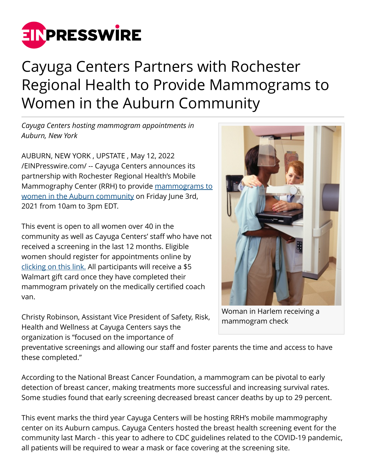

## Cayuga Centers Partners with Rochester Regional Health to Provide Mammograms to Women in the Auburn Community

*Cayuga Centers hosting mammogram appointments in Auburn, New York*

AUBURN, NEW YORK , UPSTATE , May 12, 2022 [/EINPresswire.com/](http://www.einpresswire.com) -- Cayuga Centers announces its partnership with Rochester Regional Health's Mobile Mammography Center (RRH) to provide [mammograms to](https://cayugacenters.org/mammograms-in-auburn/) [women in the Auburn community](https://cayugacenters.org/mammograms-in-auburn/) on Friday June 3rd, 2021 from 10am to 3pm EDT.

This event is open to all women over 40 in the community as well as Cayuga Centers' staff who have not received a screening in the last 12 months. Eligible women should register for appointments online by [clicking on this link.](https://pink.rochesterregional.org/) All participants will receive a \$5 Walmart gift card once they have completed their mammogram privately on the medically certified coach van.

Christy Robinson, Assistant Vice President of Safety, Risk, Health and Wellness at Cayuga Centers says the organization is "focused on the importance of



Woman in Harlem receiving a mammogram check

preventative screenings and allowing our staff and foster parents the time and access to have these completed."

According to the National Breast Cancer Foundation, a mammogram can be pivotal to early detection of breast cancer, making treatments more successful and increasing survival rates. Some studies found that early screening decreased breast cancer deaths by up to 29 percent.

This event marks the third year Cayuga Centers will be hosting RRH's mobile mammography center on its Auburn campus. Cayuga Centers hosted the breast health screening event for the community last March - this year to adhere to CDC guidelines related to the COVID-19 pandemic, all patients will be required to wear a mask or face covering at the screening site.